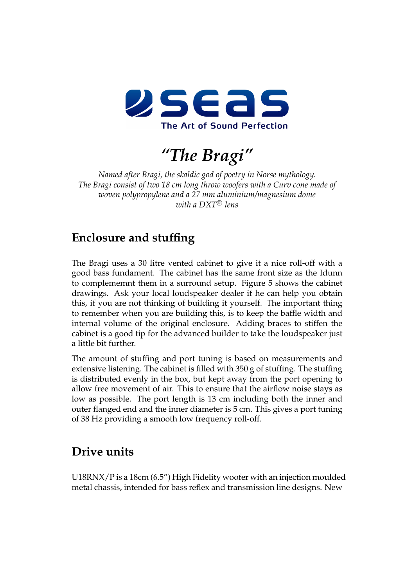

*"The Bragi"*

*Named after Bragi, the skaldic god of poetry in Norse mythology. The Bragi consist of two 18 cm long throw woofers with a Curv cone made of woven polypropylene and a 27 mm aluminium/magnesium dome*  $with$  a  $DXT^{\otimes}$  lens

## **Enclosure and stuffing**

The Bragi uses a 30 litre vented cabinet to give it a nice roll-off with a good bass fundament. The cabinet has the same front size as the Idunn to complememnt them in a surround setup. Figure [5](#page-5-0) shows the cabinet drawings. Ask your local loudspeaker dealer if he can help you obtain this, if you are not thinking of building it yourself. The important thing to remember when you are building this, is to keep the baffle width and internal volume of the original enclosure. Adding braces to stiffen the cabinet is a good tip for the advanced builder to take the loudspeaker just a little bit further.

The amount of stuffing and port tuning is based on measurements and extensive listening. The cabinet is filled with 350 g of stuffing. The stuffing is distributed evenly in the box, but kept away from the port opening to allow free movement of air. This to ensure that the airflow noise stays as low as possible. The port length is 13 cm including both the inner and outer flanged end and the inner diameter is 5 cm. This gives a port tuning of 38 Hz providing a smooth low frequency roll-off.

## **Drive units**

U18RNX/P is a 18cm (6.5") High Fidelity woofer with an injection moulded metal chassis, intended for bass reflex and transmission line designs. New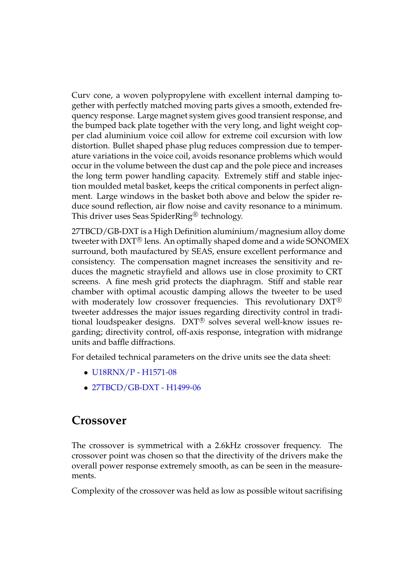Curv cone, a woven polypropylene with excellent internal damping together with perfectly matched moving parts gives a smooth, extended frequency response. Large magnet system gives good transient response, and the bumped back plate together with the very long, and light weight copper clad aluminium voice coil allow for extreme coil excursion with low distortion. Bullet shaped phase plug reduces compression due to temperature variations in the voice coil, avoids resonance problems which would occur in the volume between the dust cap and the pole piece and increases the long term power handling capacity. Extremely stiff and stable injection moulded metal basket, keeps the critical components in perfect alignment. Large windows in the basket both above and below the spider reduce sound reflection, air flow noise and cavity resonance to a minimum. This driver uses Seas SpiderRing<sup>®</sup> technology.

27TBCD/GB-DXT is a High Definition aluminium/magnesium alloy dome tweeter with DXT® lens. An optimally shaped dome and a wide SONOMEX surround, both maufactured by SEAS, ensure excellent performance and consistency. The compensation magnet increases the sensitivity and reduces the magnetic strayfield and allows use in close proximity to CRT screens. A fine mesh grid protects the diaphragm. Stiff and stable rear chamber with optimal acoustic damping allows the tweeter to be used with moderately low crossover frequencies. This revolutionary DXT<sup>®</sup> tweeter addresses the major issues regarding directivity control in traditional loudspeaker designs. DXT® solves several well-know issues regarding; directivity control, off-axis response, integration with midrange units and baffle diffractions.

For detailed technical parameters on the drive units see the data sheet:

- *•* [U18RNX/P H1571-08](http://seas.no/index.php?option=com_content&view=article&id=102:h1571-08-u18rnxp&catid=44:utv-prestige-woofers&Itemid=461)
- *•* [27TBCD/GB-DXT H1499-06](http://seas.no/index.php?option=com_content&view=article&id=99:h1499-06-27tbcdgb-dxt&catid=45:seas-prestige-tweeters&Itemid=462)

## **Crossover**

The crossover is symmetrical with a 2.6kHz crossover frequency. The crossover point was chosen so that the directivity of the drivers make the overall power response extremely smooth, as can be seen in the measurements.

Complexity of the crossover was held as low as possible witout sacrifising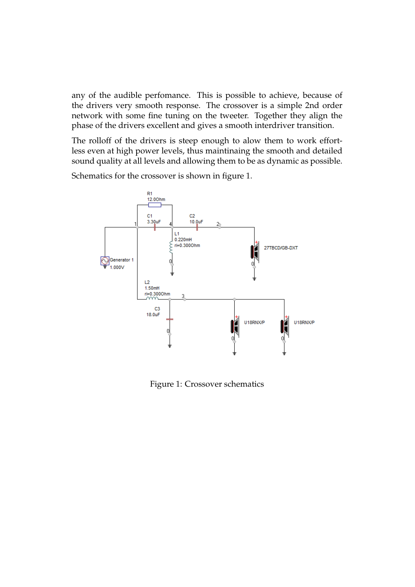any of the audible perfomance. This is possible to achieve, because of the drivers very smooth response. The crossover is a simple 2nd order network with some fine tuning on the tweeter. Together they align the phase of the drivers excellent and gives a smooth interdriver transition.

The rolloff of the drivers is steep enough to alow them to work effortless even at high power levels, thus maintinaing the smooth and detailed sound quality at all levels and allowing them to be as dynamic as possible.

Schematics for the crossover is shown in figure [1](#page-2-0).



<span id="page-2-0"></span>Figure 1: Crossover schematics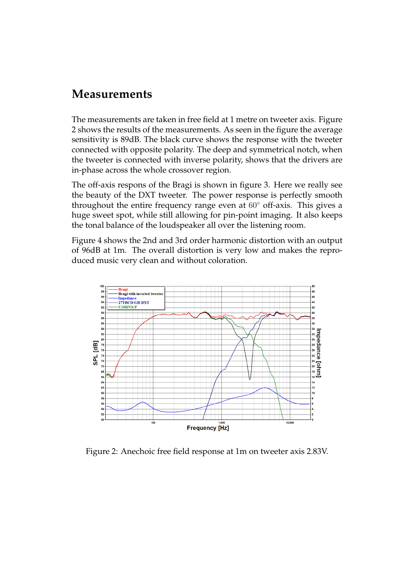## **Measurements**

The measurements are taken in free field at 1 metre on tweeter axis. Figure [2](#page-3-0) shows the results of the measurements. As seen in the figure the average sensitivity is 89dB. The black curve shows the response with the tweeter connected with opposite polarity. The deep and symmetrical notch, when the tweeter is connected with inverse polarity, shows that the drivers are in-phase across the whole crossover region.

The off-axis respons of the Bragi is shown in figure [3.](#page-4-0) Here we really see the beauty of the DXT tweeter. The power response is perfectly smooth throughout the entire frequency range even at 60*◦* off-axis. This gives a huge sweet spot, while still allowing for pin-point imaging. It also keeps the tonal balance of the loudspeaker all over the listening room.

Figure [4](#page-4-1) shows the 2nd and 3rd order harmonic distortion with an output of 96dB at 1m. The overall distortion is very low and makes the reproduced music very clean and without coloration.



<span id="page-3-0"></span>Figure 2: Anechoic free field response at 1m on tweeter axis 2.83V.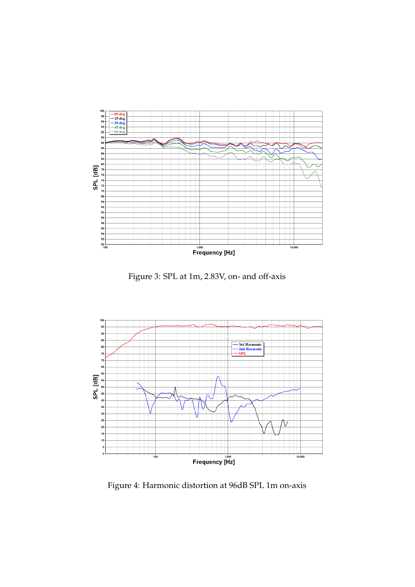

<span id="page-4-0"></span>Figure 3: SPL at 1m, 2.83V, on- and off-axis



<span id="page-4-1"></span>Figure 4: Harmonic distortion at 96dB SPL 1m on-axis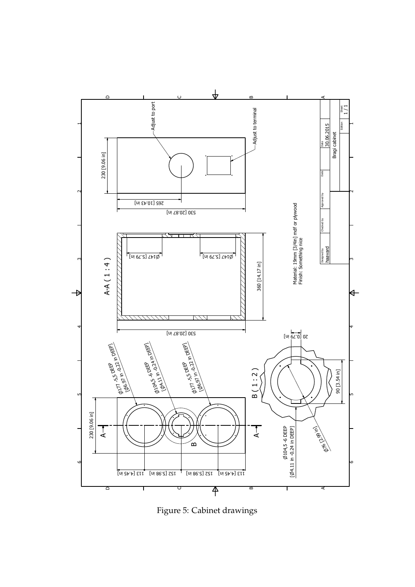

<span id="page-5-0"></span>Figure 5: Cabinet drawings